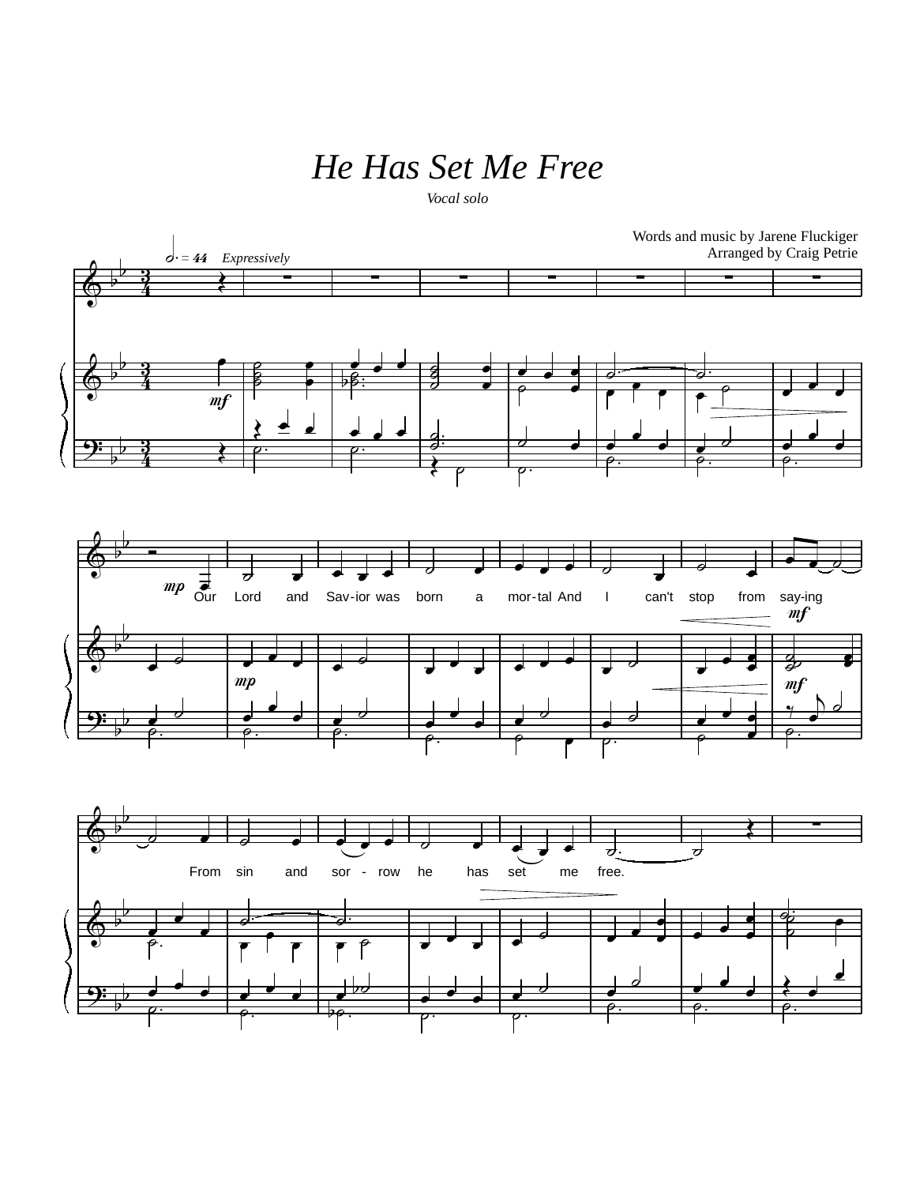## *He Has Set Me Free*

*Vocal solo*

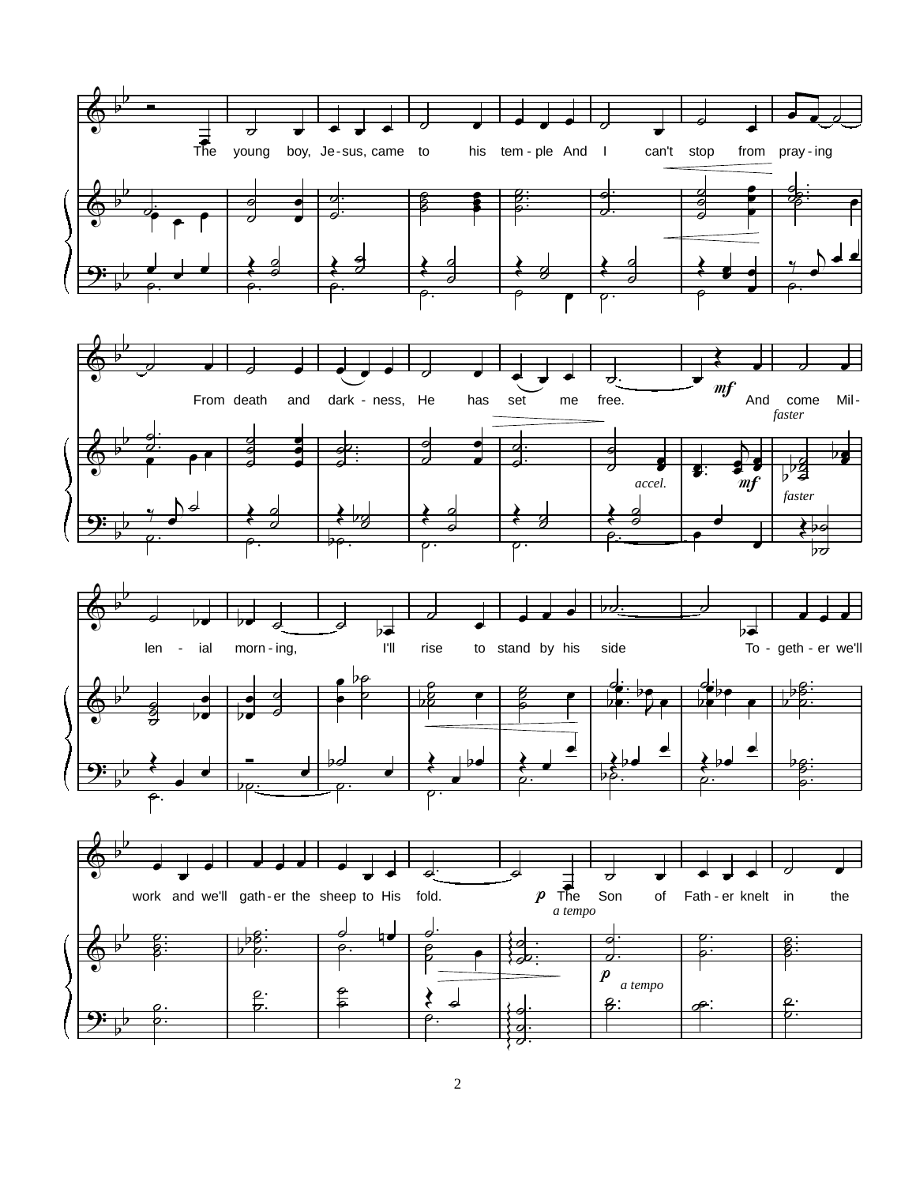